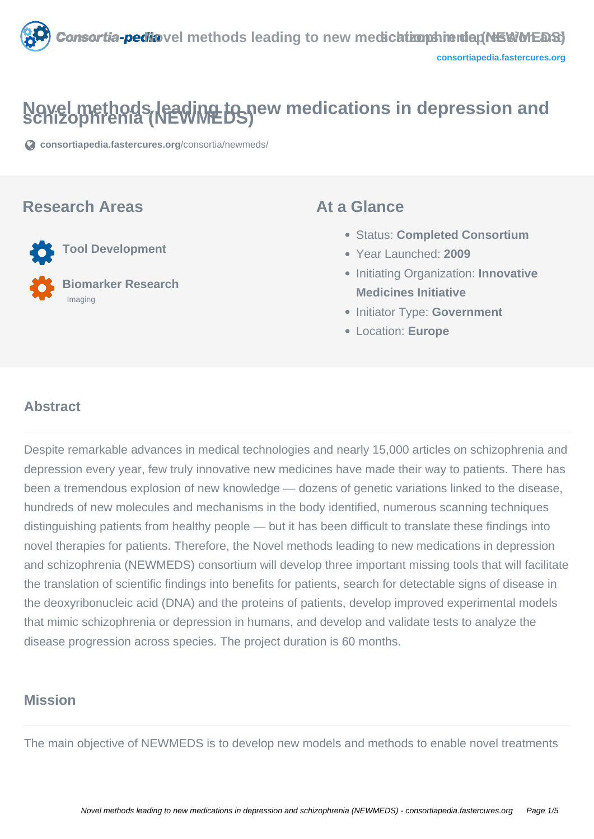

# **Novel methods leading to new medications in depression and schizophrenia (NEWMEDS)**

**[consortiapedia.fastercures.org](https://consortiapedia.fastercures.org/consortia/newmeds/)**[/consortia/newmeds/](https://consortiapedia.fastercures.org/consortia/newmeds/)

#### **Research Areas**

 **Tool Development Biomarker Research** Imaging

#### **At a Glance**

- Status: **Completed Consortium**
- Year Launched: **2009**
- **Initiating Organization: Innovative Medicines Initiative**
- **Initiator Type: Government**
- Location: **Europe**

#### $\overline{a}$ **Abstract**

Despite remarkable advances in medical technologies and nearly 15,000 articles on schizophrenia and depression every year, few truly innovative new medicines have made their way to patients. There has been a tremendous explosion of new knowledge — dozens of genetic variations linked to the disease, hundreds of new molecules and mechanisms in the body identified, numerous scanning techniques distinguishing patients from healthy people — but it has been difficult to translate these findings into novel therapies for patients. Therefore, the Novel methods leading to new medications in depression and schizophrenia (NEWMEDS) consortium will develop three important missing tools that will facilitate the translation of scientific findings into benefits for patients, search for detectable signs of disease in the deoxyribonucleic acid (DNA) and the proteins of patients, develop improved experimental models that mimic schizophrenia or depression in humans, and develop and validate tests to analyze the disease progression across species. The project duration is 60 months.

### **Mission**

The main objective of NEWMEDS is to develop new models and methods to enable novel treatments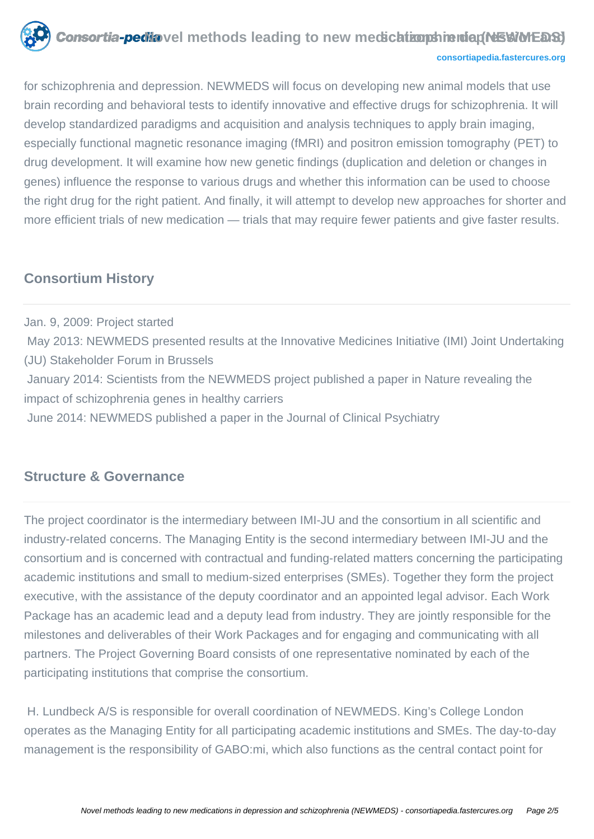

#### **[consortiapedia.fastercures.org](http://consortiapedia.fastercures.org/)**

for schizophrenia and depression. NEWMEDS will focus on developing new animal models that use brain recording and behavioral tests to identify innovative and effective drugs for schizophrenia. It will develop standardized paradigms and acquisition and analysis techniques to apply brain imaging, especially functional magnetic resonance imaging (fMRI) and positron emission tomography (PET) to drug development. It will examine how new genetic findings (duplication and deletion or changes in genes) influence the response to various drugs and whether this information can be used to choose the right drug for the right patient. And finally, it will attempt to develop new approaches for shorter and more efficient trials of new medication — trials that may require fewer patients and give faster results.

#### **Consortium History**

Jan. 9, 2009: Project started May 2013: NEWMEDS presented results at the Innovative Medicines Initiative (IMI) Joint Undertaking (JU) Stakeholder Forum in Brussels January 2014: Scientists from the NEWMEDS project published a paper in Nature revealing the impact of schizophrenia genes in healthy carriers June 2014: NEWMEDS published a paper in the Journal of Clinical Psychiatry

#### **Structure & Governance**

The project coordinator is the intermediary between IMI-JU and the consortium in all scientific and industry-related concerns. The Managing Entity is the second intermediary between IMI-JU and the consortium and is concerned with contractual and funding-related matters concerning the participating academic institutions and small to medium-sized enterprises (SMEs). Together they form the project executive, with the assistance of the deputy coordinator and an appointed legal advisor. Each Work Package has an academic lead and a deputy lead from industry. They are jointly responsible for the milestones and deliverables of their Work Packages and for engaging and communicating with all partners. The Project Governing Board consists of one representative nominated by each of the participating institutions that comprise the consortium.

 H. Lundbeck A/S is responsible for overall coordination of NEWMEDS. King's College London operates as the Managing Entity for all participating academic institutions and SMEs. The day-to-day management is the responsibility of GABO:mi, which also functions as the central contact point for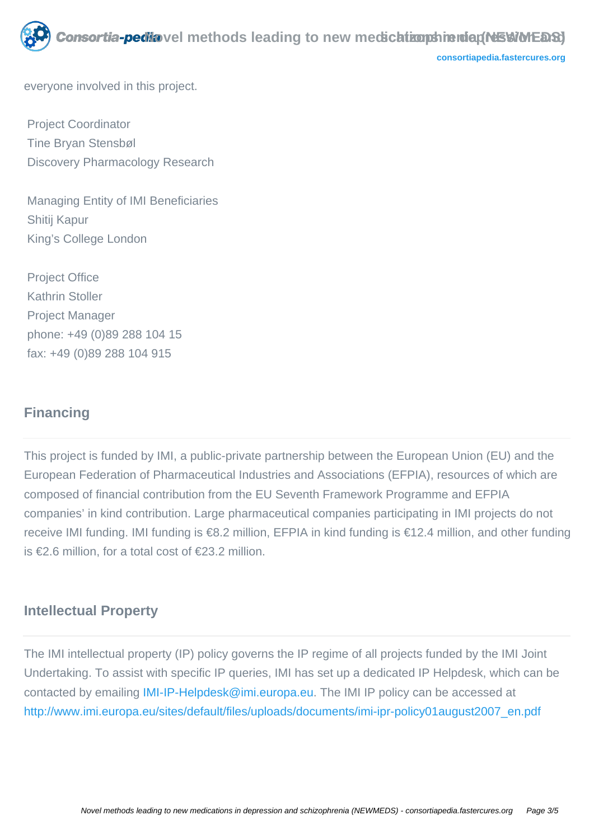

**[consortiapedia.fastercures.org](http://consortiapedia.fastercures.org/)**

everyone involved in this project.

 Project Coordinator Tine Bryan Stensbøl Discovery Pharmacology Research

 Managing Entity of IMI Beneficiaries Shitij Kapur King's College London

 Project Office Kathrin Stoller Project Manager phone: +49 (0)89 288 104 15 fax: +49 (0)89 288 104 915

#### **Financing**

This project is funded by IMI, a public-private partnership between the European Union (EU) and the European Federation of Pharmaceutical Industries and Associations (EFPIA), resources of which are composed of financial contribution from the EU Seventh Framework Programme and EFPIA companies' in kind contribution. Large pharmaceutical companies participating in IMI projects do not receive IMI funding. IMI funding is €8.2 million, EFPIA in kind funding is €12.4 million, and other funding is €2.6 million, for a total cost of €23.2 million.

#### **Intellectual Property**

The IMI intellectual property (IP) policy governs the IP regime of all projects funded by the IMI Joint Undertaking. To assist with specific IP queries, IMI has set up a dedicated IP Helpdesk, which can be contacted by emailing [IMI-IP-Helpdesk@imi.europa.eu](mailto:IMI-IP-Helpdesk@imi.europa.eu). The IMI IP policy can be accessed at [http://www.imi.europa.eu/sites/default/files/uploads/documents/imi-ipr-policy01august2007\\_en.pdf](http://www.imi.europa.eu/sites/default/files/uploads/documents/imi-ipr-policy01august2007_en.pdf)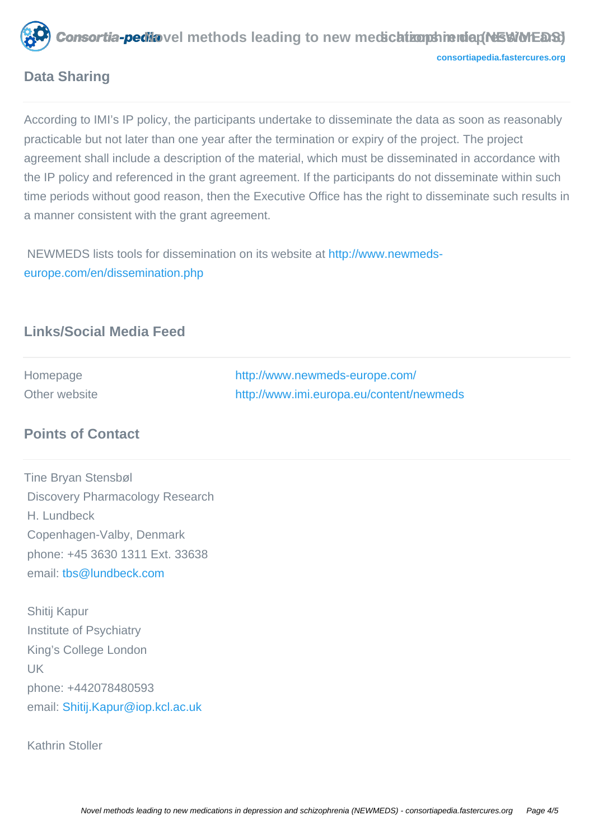

**Nonsortia-pedia** vel methods leading to new medication phrenia (NEWMEDS) **[consortiapedia.fastercures.org](http://consortiapedia.fastercures.org/)**

## **Data Sharing**

According to IMI's IP policy, the participants undertake to disseminate the data as soon as reasonably practicable but not later than one year after the termination or expiry of the project. The project agreement shall include a description of the material, which must be disseminated in accordance with the IP policy and referenced in the grant agreement. If the participants do not disseminate within such time periods without good reason, then the Executive Office has the right to disseminate such results in a manner consistent with the grant agreement.

 NEWMEDS lists tools for dissemination on its website at [http://www.newmeds](http://www.newmeds-europe.com/en/dissemination.php)[europe.com/en/dissemination.php](http://www.newmeds-europe.com/en/dissemination.php)

# **Links/Social Media Feed**

| Homepage      | http://www.newmeds-europe.com/           |
|---------------|------------------------------------------|
| Other website | http://www.imi.europa.eu/content/newmeds |

## **Points of Contact**

Tine Bryan Stensbøl Discovery Pharmacology Research H. Lundbeck Copenhagen-Valby, Denmark phone: +45 3630 1311 Ext. 33638 email[: tbs@lundbeck.com](mailto:tbs@lundbeck.com)

 Shitij Kapur Institute of Psychiatry King's College London UK phone: +442078480593 email: [Shitij.Kapur@iop.kcl.ac.uk](mailto:Shitij.Kapur@iop.kcl.ac.uk)

Kathrin Stoller